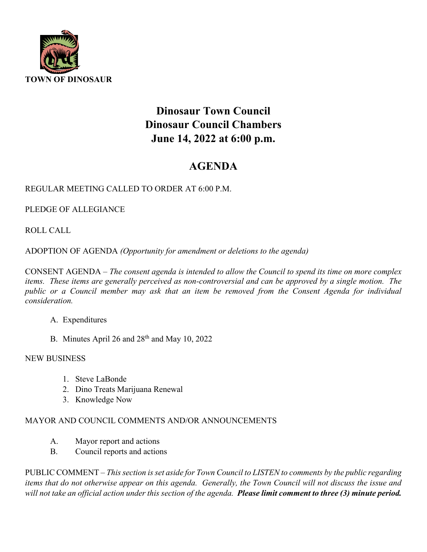

# **Dinosaur Town Council Dinosaur Council Chambers June 14, 2022 at 6:00 p.m.**

## **AGENDA**

### REGULAR MEETING CALLED TO ORDER AT 6:00 P.M.

PLEDGE OF ALLEGIANCE

ROLL CALL

ADOPTION OF AGENDA *(Opportunity for amendment or deletions to the agenda)*

CONSENT AGENDA – *The consent agenda is intended to allow the Council to spend its time on more complex items. These items are generally perceived as non-controversial and can be approved by a single motion. The*  public or a Council member may ask that an item be removed from the Consent Agenda for individual *consideration.*

- A. Expenditures
- B. Minutes April 26 and  $28<sup>th</sup>$  and May 10, 2022

#### NEW BUSINESS

- 1. Steve LaBonde
- 2. Dino Treats Marijuana Renewal
- 3. Knowledge Now

### MAYOR AND COUNCIL COMMENTS AND/OR ANNOUNCEMENTS

- A. Mayor report and actions
- B. Council reports and actions

PUBLIC COMMENT – *This section is set aside for Town Council to LISTEN to comments by the public regarding items that do not otherwise appear on this agenda. Generally, the Town Council will not discuss the issue and will not take an official action under this section of the agenda. Please limit comment to three (3) minute period.*